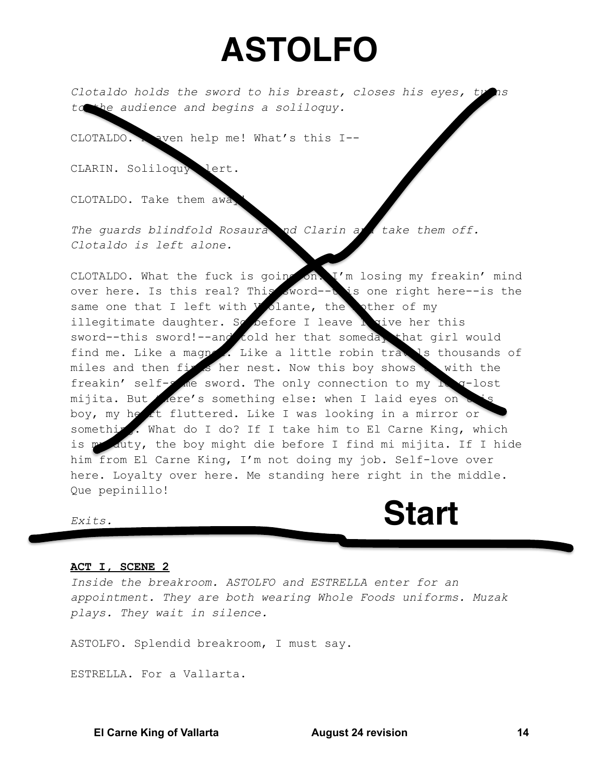## **ASTOLFO**

Clotaldo holds the sword to his breast, closes his eyes, ty to the audience and begins a soliloquy.

CLOTALDO. aven help me! What's this I--

CLARIN. Soliloquy lert.

CLOTALDO. Take them awa

The quards blindfold Rosaura nd Clarin a take them off. Clotaldo is left alone.

CLOTALDO. What the fuck is going on I'm losing my freakin' mind over here. Is this real? This sword--b is one right here--is the same one that I left with *y* olante, the other of my illegitimate daughter. So before I leave h vive her this sword--this sword!--and told her that someday that girl would find me. Like a magnet. Like a little robin travis thousands of miles and then fight her nest. Now this boy shows with the freakin' self-s de sword. The only connection to my hoq-lost mijita. But Aere's something else: when I laid eyes on boy, my heart fluttered. Like I was looking in a mirror or something. What do I do? If I take him to El Carne King, which is me duty, the boy might die before I find mi mijita. If I hide him from El Carne King, I'm not doing my job. Self-love over here. Lovalty over here. Me standing here right in the middle. Que pepinillo!

Exits.

## ACT I, SCENE 2

Inside the breakroom. ASTOLFO and ESTRELLA enter for an appointment. They are both wearing Whole Foods uniforms. Muzak plays. They wait in silence.

ASTOLFO. Splendid breakroom, I must say.

ESTRELLA. For a Vallarta.

**El Carne King of Vallarta** 

**August 24 revision** 

**Start**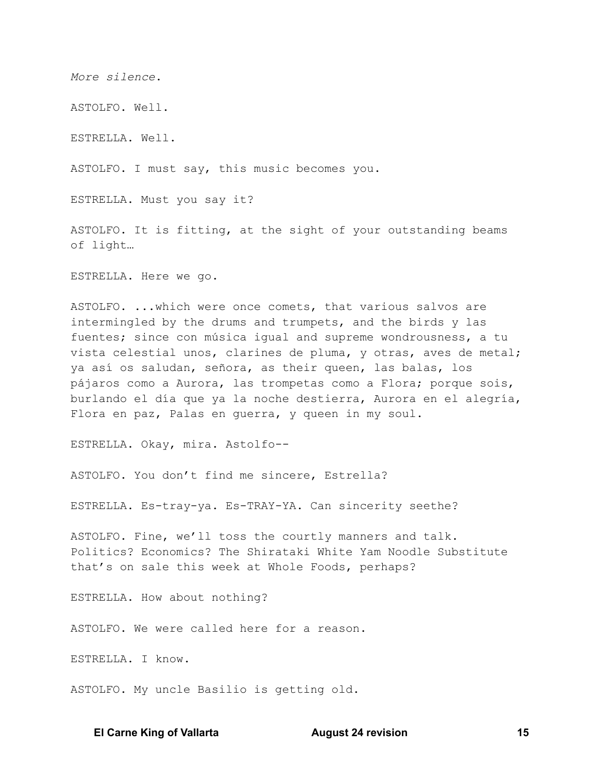More silence.

ASTOLFO. Well.

ESTRELLA. Well.

ASTOLFO. I must say, this music becomes you.

ESTRELLA. Must you say it?

ASTOLFO. It is fitting, at the sight of your outstanding beams of light...

ESTRELLA. Here we go.

ASTOLFO. ... which were once comets, that various salvos are intermingled by the drums and trumpets, and the birds y las fuentes; since con música igual and supreme wondrousness, a tu vista celestial unos, clarines de pluma, y otras, aves de metal; ya así os saludan, señora, as their queen, las balas, los pájaros como a Aurora, las trompetas como a Flora; porque sois, burlando el día que ya la noche destierra, Aurora en el alegría, Flora en paz, Palas en guerra, y queen in my soul.

ESTRELLA. Okay, mira. Astolfo--

ASTOLFO. You don't find me sincere, Estrella?

ESTRELLA. Es-tray-ya. Es-TRAY-YA. Can sincerity seethe?

ASTOLFO. Fine, we'll toss the courtly manners and talk. Politics? Economics? The Shirataki White Yam Noodle Substitute that's on sale this week at Whole Foods, perhaps?

ESTRELLA. How about nothing?

ASTOLFO. We were called here for a reason.

ESTRELLA. I know.

ASTOLFO. My uncle Basilio is getting old.

## **El Carne King of Vallarta**

**August 24 revision**